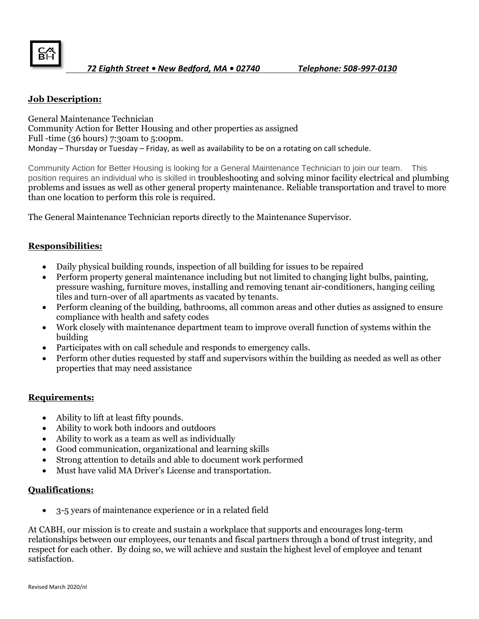

## **Job Description:**

General Maintenance Technician Community Action for Better Housing and other properties as assigned Full -time (36 hours) 7:30am to 5:00pm. Monday – Thursday or Tuesday – Friday, as well as availability to be on a rotating on call schedule.

Community Action for Better Housing is looking for a General Maintenance Technician to join our team. This position requires an individual who is skilled in troubleshooting and solving minor facility electrical and plumbing problems and issues as well as other general property maintenance. Reliable transportation and travel to more than one location to perform this role is required.

The General Maintenance Technician reports directly to the Maintenance Supervisor.

## **Responsibilities:**

- Daily physical building rounds, inspection of all building for issues to be repaired
- Perform property general maintenance including but not limited to changing light bulbs, painting, pressure washing, furniture moves, installing and removing tenant air-conditioners, hanging ceiling tiles and turn-over of all apartments as vacated by tenants.
- Perform cleaning of the building, bathrooms, all common areas and other duties as assigned to ensure compliance with health and safety codes
- Work closely with maintenance department team to improve overall function of systems within the building
- Participates with on call schedule and responds to emergency calls.
- Perform other duties requested by staff and supervisors within the building as needed as well as other properties that may need assistance

## **Requirements:**

- Ability to lift at least fifty pounds.
- Ability to work both indoors and outdoors
- Ability to work as a team as well as individually
- Good communication, organizational and learning skills
- Strong attention to details and able to document work performed
- Must have valid MA Driver's License and transportation.

## **Qualifications:**

• 3-5 years of maintenance experience or in a related field

At CABH, our mission is to create and sustain a workplace that supports and encourages long-term relationships between our employees, our tenants and fiscal partners through a bond of trust integrity, and respect for each other. By doing so, we will achieve and sustain the highest level of employee and tenant satisfaction.